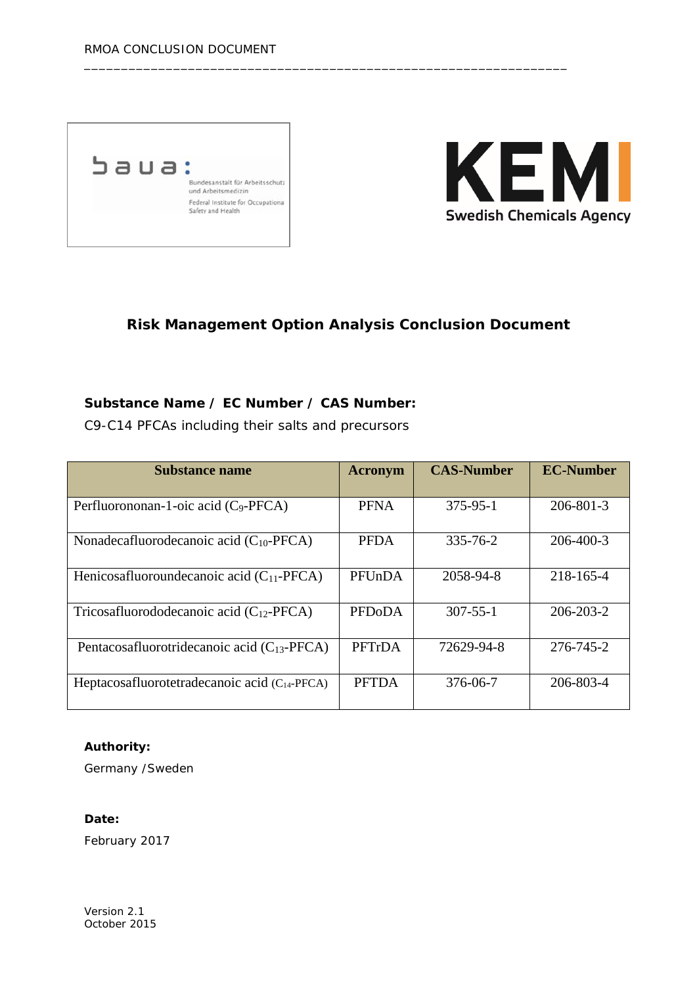



# **Risk Management Option Analysis Conclusion Document**

\_\_\_\_\_\_\_\_\_\_\_\_\_\_\_\_\_\_\_\_\_\_\_\_\_\_\_\_\_\_\_\_\_\_\_\_\_\_\_\_\_\_\_\_\_\_\_\_\_\_\_\_\_\_\_\_\_\_\_\_\_\_\_\_\_

### **Substance Name / EC Number / CAS Number:**

C9-C14 PFCAs including their salts and precursors

| <b>Substance name</b>                              | <b>Acronym</b> | <b>CAS-Number</b> | <b>EC-Number</b> |
|----------------------------------------------------|----------------|-------------------|------------------|
| Perfluorononan-1-oic acid (C <sub>9</sub> -PFCA)   | <b>PFNA</b>    | $375 - 95 - 1$    | $206 - 801 - 3$  |
| Nonadecafluorodecanoic acid $(C_{10}$ -PFCA)       | <b>PFDA</b>    | 335-76-2          | 206-400-3        |
| Henicosafluoroundecanoic acid $(C_{11}$ -PFCA)     | PFUnDA         | 2058-94-8         | 218-165-4        |
| Tricosafluorododecanoic acid $(C_{12}$ -PFCA)      | <b>PFDoDA</b>  | $307 - 55 - 1$    | 206-203-2        |
| Pentacosafluorotridecanoic acid ( $C_{13}$ -PFCA)  | PFTrDA         | 72629-94-8        | 276-745-2        |
| Heptacosafluorotetradecanoic acid $(C_{14}$ -PFCA) | <b>PFTDA</b>   | 376-06-7          | 206-803-4        |

#### **Authority:**

Germany /Sweden

#### **Date:**

February 2017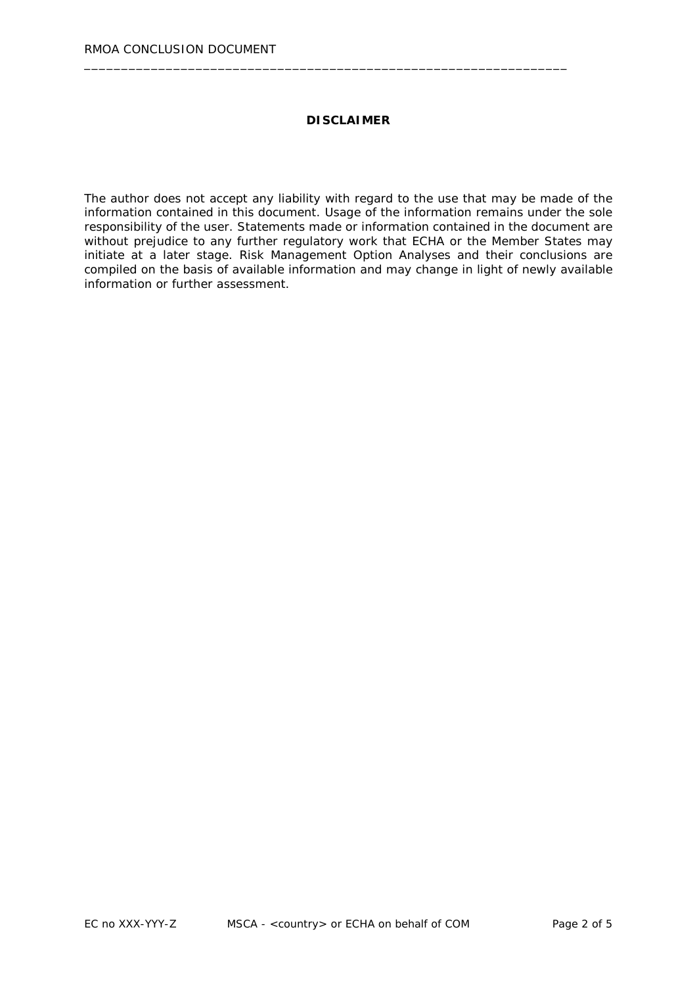#### **DISCLAIMER**

\_\_\_\_\_\_\_\_\_\_\_\_\_\_\_\_\_\_\_\_\_\_\_\_\_\_\_\_\_\_\_\_\_\_\_\_\_\_\_\_\_\_\_\_\_\_\_\_\_\_\_\_\_\_\_\_\_\_\_\_\_\_\_\_\_

The author does not accept any liability with regard to the use that may be made of the information contained in this document. Usage of the information remains under the sole responsibility of the user. Statements made or information contained in the document are without prejudice to any further regulatory work that ECHA or the Member States may initiate at a later stage. Risk Management Option Analyses and their conclusions are compiled on the basis of available information and may change in light of newly available information or further assessment.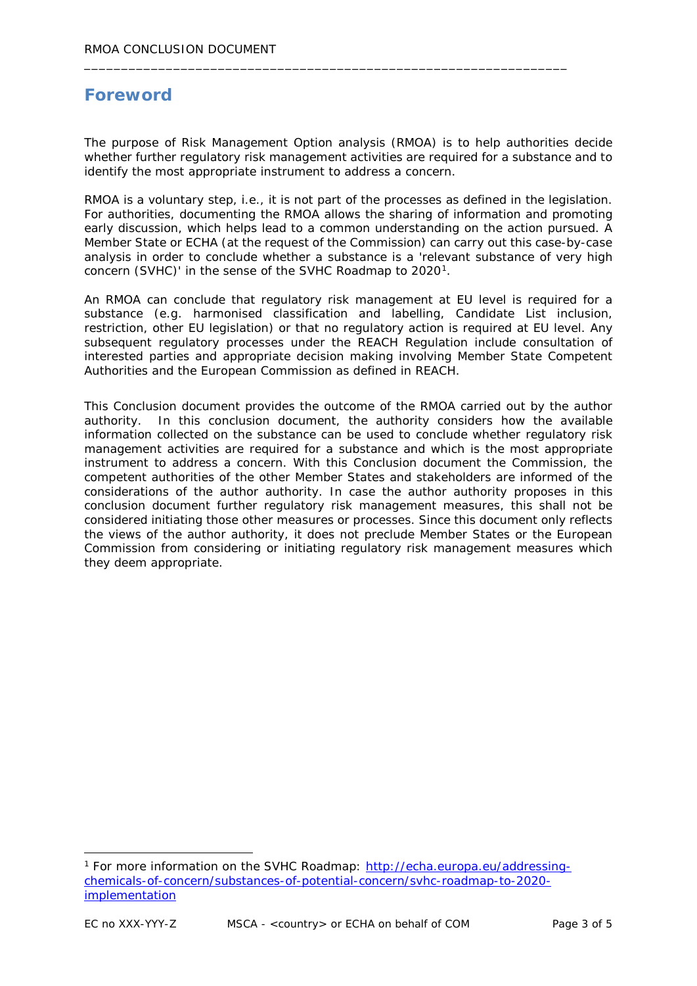# **Foreword**

The purpose of Risk Management Option analysis (RMOA) is to help authorities decide whether further regulatory risk management activities are required for a substance and to identify the most appropriate instrument to address a concern.

\_\_\_\_\_\_\_\_\_\_\_\_\_\_\_\_\_\_\_\_\_\_\_\_\_\_\_\_\_\_\_\_\_\_\_\_\_\_\_\_\_\_\_\_\_\_\_\_\_\_\_\_\_\_\_\_\_\_\_\_\_\_\_\_\_

RMOA is a voluntary step, i.e., it is not part of the processes as defined in the legislation. For authorities, documenting the RMOA allows the sharing of information and promoting early discussion, which helps lead to a common understanding on the action pursued. A Member State or ECHA (at the request of the Commission) can carry out this case-by-case analysis in order to conclude whether a substance is a 'relevant substance of very high concern (SVHC)' in the sense of the SVHC Roadmap to 2020<sup>1</sup>.

An RMOA can conclude that regulatory risk management at EU level is required for a substance (e.g. harmonised classification and labelling, Candidate List inclusion, restriction, other EU legislation) or that no regulatory action is required at EU level. Any subsequent regulatory processes under the REACH Regulation include consultation of interested parties and appropriate decision making involving Member State Competent Authorities and the European Commission as defined in REACH.

This Conclusion document provides the outcome of the RMOA carried out by the author authority. In this conclusion document, the authority considers how the available information collected on the substance can be used to conclude whether regulatory risk management activities are required for a substance and which is the most appropriate instrument to address a concern. With this Conclusion document the Commission, the competent authorities of the other Member States and stakeholders are informed of the considerations of the author authority. In case the author authority proposes in this conclusion document further regulatory risk management measures, this shall not be considered initiating those other measures or processes. Since this document only reflects the views of the author authority, it does not preclude Member States or the European Commission from considering or initiating regulatory risk management measures which they deem appropriate.

<span id="page-2-0"></span> <sup>1</sup> For more information on the SVHC Roadmap: [http://echa.europa.eu/addressing](http://echa.europa.eu/addressing-chemicals-of-concern/substances-of-potential-concern/svhc-roadmap-to-2020-implementation)[chemicals-of-concern/substances-of-potential-concern/svhc-roadmap-to-2020](http://echa.europa.eu/addressing-chemicals-of-concern/substances-of-potential-concern/svhc-roadmap-to-2020-implementation) [implementation](http://echa.europa.eu/addressing-chemicals-of-concern/substances-of-potential-concern/svhc-roadmap-to-2020-implementation)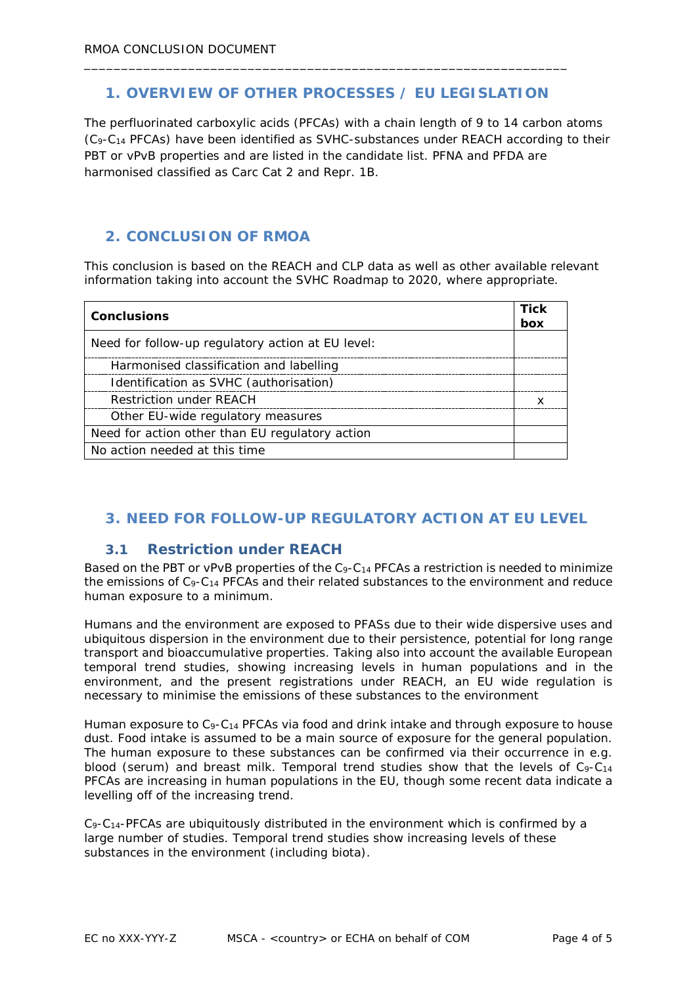# **1. OVERVIEW OF OTHER PROCESSES / EU LEGISLATION**

\_\_\_\_\_\_\_\_\_\_\_\_\_\_\_\_\_\_\_\_\_\_\_\_\_\_\_\_\_\_\_\_\_\_\_\_\_\_\_\_\_\_\_\_\_\_\_\_\_\_\_\_\_\_\_\_\_\_\_\_\_\_\_\_\_

The perfluorinated carboxylic acids (PFCAs) with a chain length of 9 to 14 carbon atoms (C9-C14 PFCAs) have been identified as SVHC-substances under REACH according to their PBT or vPvB properties and are listed in the candidate list. PFNA and PFDA are harmonised classified as Carc Cat 2 and Repr. 1B.

## **2. CONCLUSION OF RMOA**

This conclusion is based on the REACH and CLP data as well as other available relevant information taking into account the SVHC Roadmap to 2020, where appropriate.

| <b>Conclusions</b>                                |     |
|---------------------------------------------------|-----|
|                                                   | box |
| Need for follow-up regulatory action at EU level: |     |
| Harmonised classification and labelling           |     |
| Identification as SVHC (authorisation)            |     |
| <b>Restriction under REACH</b>                    |     |
| Other EU-wide regulatory measures                 |     |
| Need for action other than EU regulatory action   |     |
| No action needed at this time                     |     |

# **3. NEED FOR FOLLOW-UP REGULATORY ACTION AT EU LEVEL**

#### **3.1 Restriction under REACH**

Based on the PBT or vPvB properties of the C<sub>9</sub>-C<sub>14</sub> PFCAs a restriction is needed to minimize the emissions of  $C_9 - C_{14}$  PFCAs and their related substances to the environment and reduce human exposure to a minimum.

Humans and the environment are exposed to PFASs due to their wide dispersive uses and ubiquitous dispersion in the environment due to their persistence, potential for long range transport and bioaccumulative properties. Taking also into account the available European temporal trend studies, showing increasing levels in human populations and in the environment, and the present registrations under REACH, an EU wide regulation is necessary to minimise the emissions of these substances to the environment

Human exposure to  $C_{9}$ -C<sub>14</sub> PFCAs via food and drink intake and through exposure to house dust. Food intake is assumed to be a main source of exposure for the general population. The human exposure to these substances can be confirmed via their occurrence in e.g. blood (serum) and breast milk. Temporal trend studies show that the levels of  $C_9 - C_{14}$ PFCAs are increasing in human populations in the EU, though some recent data indicate a levelling off of the increasing trend.

 $C_9 - C_{14}$ -PFCAs are ubiquitously distributed in the environment which is confirmed by a large number of studies. Temporal trend studies show increasing levels of these substances in the environment (including biota).